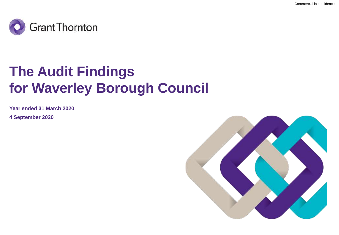

# **The Audit Findings for Waverley Borough Council**

**Year ended 31 March 2020**

**4 September 2020**

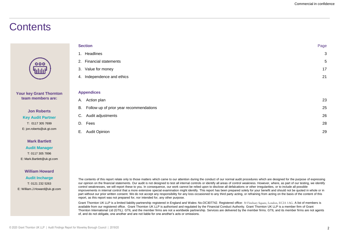### **Contents**

|                                                                          | <b>Section</b>                                | Page |
|--------------------------------------------------------------------------|-----------------------------------------------|------|
|                                                                          | 1. Headlines                                  | 3    |
| 000                                                                      | 2. Financial statements                       | 5    |
| <u>'ululu</u>                                                            | 3. Value for money                            | 17   |
|                                                                          | Independence and ethics<br>4.                 | 21   |
|                                                                          |                                               |      |
| <b>Your key Grant Thornton</b><br>team members are:                      | <b>Appendices</b>                             |      |
|                                                                          | A. Action plan                                | 23   |
| <b>Jon Roberts</b>                                                       | Follow up of prior year recommendations<br>В. | 25   |
| <b>Key Audit Partner</b><br>T: 0117 305 7699<br>E: jon.roberts@uk.gt.com | Audit adjustments<br>C.                       | 26   |
|                                                                          | Fees<br>D.                                    | 28   |
|                                                                          | Audit Opinion<br>Е.                           | 29   |
|                                                                          |                                               |      |

### **Mark Bartlett**

**Audit Manager** T: 0117 305 7896 E: Mark.Bartlett@uk.gt.com

#### **William Howard**

**Audit Incharge** T: 0121 232 5263 E: William.J.Howard@uk.gt.com

The contents of this report relate only to those matters which came to our attention during the conduct of our normal audit procedures which are designed for the purpose of expressing our opinion on the financial statements. Our audit is not designed to test all internal controls or identify all areas of control weakness. However, where, as part of our testing, we identify control weaknesses, we will report these to you. In consequence, our work cannot be relied upon to disclose all defalcations or other irregularities, or to include all possible improvements in internal control that a more extensive special examination might identify. This report has been prepared solely for your benefit and should not be quoted in whole or in part without our prior written consent. We do not accept any responsibility for any loss occasioned to any third party acting, or refraining from acting on the basis of the content of this report, as this report was not prepared for, nor intended for, any other purpose.

Grant Thornton UK LLP is a limited liability partnership registered in England and Wales: No.OC307742. Registered office: 30 Finsbury Square, London, EC2A 1AG. A list of members is available from our registered office. Grant Thornton UK LLP is authorised and regulated by the Financial Conduct Authority. Grant Thornton UK LLP is a member firm of Grant Thornton International Ltd (GTIL). GTIL and the member firms are not a worldwide partnership. Services are delivered by the member firms. GTIL and its member firms are not agents of, and do not obligate, one another and are not liable for one another's acts or omissions.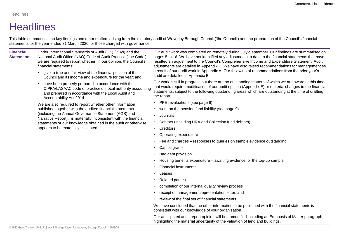### **Headlines**

This table summarises the key findings and other matters arising from the statutory audit of Waverley Borough Council ('the Council') and the preparation of the Council's financial statements for the year ended 31 March 2020 for those charged with governance.

**Financial Statements** Under International Standards of Audit (UK) (ISAs) and the National Audit Office (NAO) Code of Audit Practice ('the Code'), we are required to report whether, in our opinion, the Council's financial statements:

- give a true and fair view of the financial position of the Council and its income and expenditure for the year; and
- have been properly prepared in accordance with the CIPFA/LASAAC code of practice on local authority accounting and prepared in accordance with the Local Audit and Accountability Act 2014.

We are also required to report whether other information published together with the audited financial statements (including the Annual Governance Statement (AGS) and Narrative Report), is materially inconsistent with the financial statements or our knowledge obtained in the audit or otherwise appears to be materially misstated.

Our audit work was completed on remotely during July-September. Our findings are summarised on pages 5 to 16. We have not identified any adjustments to date to the financial statements that have resulted an adjustment to the Council's Comprehensive Income and Expenditure Statement. Audit adjustments are detailed in Appendix C. We have also raised recommendations for management as a result of our audit work in Appendix A. Our follow up of recommendations from the prior year's audit are detailed in Appendix B.

Our work is still in progress but there are no outstanding matters of which we are aware at this time that would require modification of our audit opinion (Appendix E) or material changes to the financial statements, subject to the following outstanding areas which are outstanding at the time of drafting the report;

- PPE revaluations (see page 8)
- work on the pension fund liability (see page 9).
- Journals
- Debtors (including HRA and Collection fund debtors)
- Creditors
- Operating expenditure
- Fee and charges responses to queries on sample evidence outstanding
- Capital grants
- Bad debt provision
- Housing benefits expenditure awaiting evidence for the top-up sample
- Financial instruments
- Leases
- Related parties
- completion of our internal quality review process
- receipt of management representation letter; and
- review of the final set of financial statements.

We have concluded that the other information to be published with the financial statements is consistent with our knowledge of your organisation.

Our anticipated audit report opinion will be unmodified including an Emphasis of Matter paragraph, highlighting the material uncertainty of the valuation of land and buildings.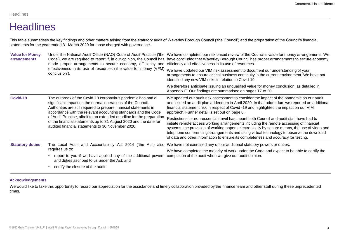### **Headlines**

This table summarises the key findings and other matters arising from the statutory audit of Waverley Borough Council ('the Council') and the preparation of the Council's financial statements for the year ended 31 March 2020 for those charged with governance.

| <b>Value for Money</b><br>arrangements                                                                                                                                                                                                                                        | made proper arrangements to secure economy, efficiency and                                                                                                                                      | Under the National Audit Office (NAO) Code of Audit Practice ('the We have completed our risk based review of the Council's value for money arrangements. We<br>Code'), we are required to report if, in our opinion, the Council has have concluded that Waverley Borough Council has proper arrangements to secure economy,<br>efficiency and effectiveness in its use of resources.                                                                                 |  |
|-------------------------------------------------------------------------------------------------------------------------------------------------------------------------------------------------------------------------------------------------------------------------------|-------------------------------------------------------------------------------------------------------------------------------------------------------------------------------------------------|------------------------------------------------------------------------------------------------------------------------------------------------------------------------------------------------------------------------------------------------------------------------------------------------------------------------------------------------------------------------------------------------------------------------------------------------------------------------|--|
|                                                                                                                                                                                                                                                                               | effectiveness in its use of resources ('the value for money (VFM)<br>conclusion').                                                                                                              | We have updated our VfM risk assessment to document our understanding of your<br>arrangements to ensure critical business continuity in the current environment. We have not<br>identified any new VfM risks in relation to Covid-19.                                                                                                                                                                                                                                  |  |
|                                                                                                                                                                                                                                                                               |                                                                                                                                                                                                 | We therefore anticipate issuing an unqualified value for money conclusion, as detailed in<br>Appendix E. Our findings are summarised on pages 17 to 20.                                                                                                                                                                                                                                                                                                                |  |
| Covid-19<br>The outbreak of the Covid-19 coronavirus pandemic has had a<br>significant impact on the normal operations of the Council.<br>Authorities are still required to prepare financial statements in<br>accordance with the relevant accounting standards and the Code |                                                                                                                                                                                                 | We updated our audit risk assessment to consider the impact of the pandemic on our audit<br>and issued an audit plan addendum in April 2020. In that addendum we reported an additional<br>financial statement risk in respect of Covid -19 and highlighted the impact on our VfM<br>approach. Further detail is set out on page 6.                                                                                                                                    |  |
|                                                                                                                                                                                                                                                                               | of Audit Practice, albeit to an extended deadline for the preparation<br>of the financial statements up to 31 August 2020 and the date for<br>audited financial statements to 30 November 2020. | Restrictions for non-essential travel has meant both Council and audit staff have had to<br>initiate remote access working arrangements including the remote accessing of financial<br>systems, the provision of working papers electronically by secure means, the use of video and<br>telephone conferencing arrangements and using virtual technology to observe the download<br>of data and other information to ensure its completeness and accuracy for testing. |  |
| <b>Statutory duties</b>                                                                                                                                                                                                                                                       |                                                                                                                                                                                                 | The Local Audit and Accountability Act 2014 ('the Act') also We have not exercised any of our additional statutory powers or duties.                                                                                                                                                                                                                                                                                                                                   |  |
|                                                                                                                                                                                                                                                                               | requires us to:                                                                                                                                                                                 | We have completed the majority of work under the Code and expect to be able to certify the                                                                                                                                                                                                                                                                                                                                                                             |  |
| report to you if we have applied any of the additional powers completion of the audit when we give our audit opinion.<br>and duties ascribed to us under the Act; and                                                                                                         |                                                                                                                                                                                                 |                                                                                                                                                                                                                                                                                                                                                                                                                                                                        |  |
|                                                                                                                                                                                                                                                                               | certify the closure of the audit.                                                                                                                                                               |                                                                                                                                                                                                                                                                                                                                                                                                                                                                        |  |

### **Acknowledgements**

We would like to take this opportunity to record our appreciation for the assistance and timely collaboration provided by the finance team and other staff during these unprecedented times.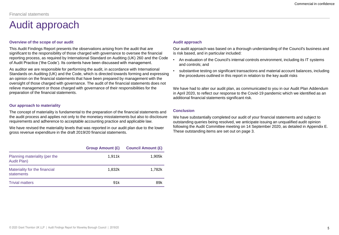### Audit approach

### **Overview of the scope of our audit**

This Audit Findings Report presents the observations arising from the audit that are significant to the responsibility of those charged with governance to oversee the financial reporting process, as required by International Standard on Auditing (UK) 260 and the Code of Audit Practice ('the Code'). Its contents have been discussed with management.

As auditor we are responsible for performing the audit, in accordance with International Standards on Auditing (UK) and the Code, which is directed towards forming and expressing an opinion on the financial statements that have been prepared by management with the oversight of those charged with governance. The audit of the financial statements does not relieve management or those charged with governance of their responsibilities for the preparation of the financial statements.

### **Our approach to materiality**

The concept of materiality is fundamental to the preparation of the financial statements and the audit process and applies not only to the monetary misstatements but also to disclosure requirements and adherence to acceptable accounting practice and applicable law.

We have revised the materiality levels that was reported in our audit plan due to the lower gross revenue expenditure in the draft 2019/20 financial statements.

|                                              | <b>Group Amount (£)</b> | <b>Council Amount (£)</b> |
|----------------------------------------------|-------------------------|---------------------------|
| Planning materiality (per the<br>Audit Plan) | 1.911k                  | 1.905k                    |
| Materiality for the financial<br>statements  | 1.832k                  | 1.782k                    |
| <b>Trivial matters</b>                       | 91 <sub>k</sub>         | 89k                       |

### **Audit approach**

Our audit approach was based on a thorough understanding of the Council's business and is risk based, and in particular included:

- An evaluation of the Council's internal controls environment, including its IT systems and controls; and
- substantive testing on significant transactions and material account balances, including the procedures outlined in this report in relation to the key audit risks

We have had to alter our audit plan, as communicated to you in our Audit Plan Addendum in April 2020, to reflect our response to the Covid-19 pandemic which we identified as an additional financial statements significant risk.

### **Conclusion**

We have substantially completed our audit of your financial statements and subject to outstanding queries being resolved, we anticipate issuing an unqualified audit opinion following the Audit Committee meeting on 14 September 2020, as detailed in Appendix E. These outstanding items are set out on page 3.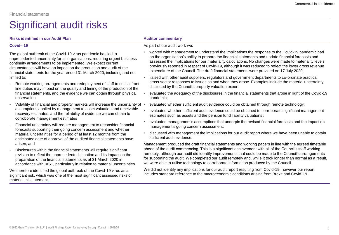### **Risks identified in our Audit Plan Auditor Commentary Auditor commentary**

### **Covid– 19**

The global outbreak of the Covid-19 virus pandemic has led to unprecedented uncertainty for all organisations, requiring urgent business continuity arrangements to be implemented. We expect current circumstances will have an impact on the production and audit of the financial statements for the year ended 31 March 2020, including and not limited to;

- Remote working arrangements and redeployment of staff to critical front line duties may impact on the quality and timing of the production of the financial statements, and the evidence we can obtain through physical observation
- Volatility of financial and property markets will increase the uncertainty of  $\cdot$ assumptions applied by management to asset valuation and receivable recovery estimates, and the reliability of evidence we can obtain to corroborate management estimates
- Financial uncertainty will require management to reconsider financial forecasts supporting their going concern assessment and whether material uncertainties for a period of at least 12 months from the anticipated date of approval of the audited financial statements have arisen; and
- Disclosures within the financial statements will require significant revision to reflect the unprecedented situation and its impact on the preparation of the financial statements as at 31 March 2020 in accordance with IAS1, particularly in relation to material uncertainties.

We therefore identified the global outbreak of the Covid-19 virus as a significant risk, which was one of the most significant assessed risks of material misstatement.

### As part of our audit work we:

- worked with management to understand the implications the response to the Covid-19 pandemic had on the organisation's ability to prepare the financial statements and update financial forecasts and assessed the implications for our materiality calculations. No changes were made to materiality levels previously reported in respect of Covid-19, although it was reduced to reflect the lower gross revenue expenditure of the Council. The draft financial statements were provided on 17 July 2020;
- liaised with other audit suppliers, regulators and government departments to co-ordinate practical cross-sector responses to issues as and when they arose. Examples include the material uncertainty disclosed by the Council's property valuation expert
- evaluated the adequacy of the disclosures in the financial statements that arose in light of the Covid-19 pandemic;
- evaluated whether sufficient audit evidence could be obtained through remote technology;
- evaluated whether sufficient audit evidence could be obtained to corroborate significant management estimates such as assets and the pension fund liability valuations ;
- evaluated management's assumptions that underpin the revised financial forecasts and the impact on management's going concern assessment;
- discussed with management the implications for our audit report where we have been unable to obtain sufficient audit evidence.

Management produced the draft financial statements and working papers in line with the agreed timetable ahead of the audit commencing. This is a significant achievement with all of the Council's staff working remotely, although our audit did identify improvements that could be made to the Council's arrangements for supporting the audit. We completed our audit remotely and, while it took longer than normal as a result, we were able to utilise technology to corroborate information produced by the Council.

We did not identify any implications for our audit report resulting from Covid-19, however our report includes standard reference to the macroeconomic conditions arising from Brexit and Covid-19.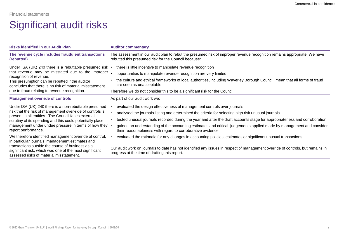| <b>Risks identified in our Audit Plan</b>                                                                                                               | <b>Auditor commentary</b>                                                                                                                                                         |
|---------------------------------------------------------------------------------------------------------------------------------------------------------|-----------------------------------------------------------------------------------------------------------------------------------------------------------------------------------|
| The revenue cycle includes fraudulent transactions<br>(rebutted)                                                                                        | The assessment in our audit plan to rebut the presumed risk of improper revenue recognition remains appropriate. We have<br>rebutted this presumed risk for the Council because:  |
| Under ISA (UK) 240 there is a rebuttable presumed risk                                                                                                  | there is little incentive to manipulate revenue recognition                                                                                                                       |
| that revenue may be misstated due to the improper<br>recognition of revenue.                                                                            | opportunities to manipulate revenue recognition are very limited                                                                                                                  |
| This presumption can be rebutted if the auditor<br>concludes that there is no risk of material misstatement                                             | the culture and ethical frameworks of local authorities, including Waverley Borough Council, mean that all forms of fraud<br>are seen as unacceptable                             |
| due to fraud relating to revenue recognition.                                                                                                           | Therefore we do not consider this to be a significant risk for the Council.                                                                                                       |
| <b>Management override of controls</b>                                                                                                                  | As part of our audit work we:                                                                                                                                                     |
| Under ISA (UK) 240 there is a non-rebuttable presumed                                                                                                   | evaluated the design effectiveness of management controls over journals                                                                                                           |
| risk that the risk of management over-ride of controls is<br>present in all entities. The Council faces external                                        | analysed the journals listing and determined the criteria for selecting high risk unusual journals                                                                                |
| scrutiny of its spending and this could potentially place                                                                                               | tested unusual journals recorded during the year and after the draft accounts stage for appropriateness and corroboration                                                         |
| management under undue pressure in terms of how they<br>report performance.                                                                             | gained an understanding of the accounting estimates and critical judgements applied made by management and consider<br>their reasonableness with regard to corroborative evidence |
| We therefore identified management override of control,<br>in particular journals, management estimates and                                             | evaluated the rationale for any changes in accounting policies, estimates or significant unusual transactions.                                                                    |
| transactions outside the course of business as a<br>significant risk, which was one of the most significant<br>assessed risks of material misstatement. | Our audit work on journals to date has not identified any issues in respect of management override of controls, but remains in<br>progress at the time of drafting this report.   |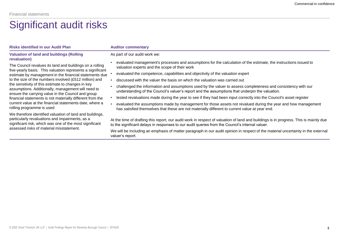| <b>Risks identified in our Audit Plan</b>                                                                                                                              | <b>Auditor commentary</b>                                                                                                                                                                                                               |
|------------------------------------------------------------------------------------------------------------------------------------------------------------------------|-----------------------------------------------------------------------------------------------------------------------------------------------------------------------------------------------------------------------------------------|
| Valuation of land and buildings (Rolling)<br>revaluation)                                                                                                              | As part of our audit work we:                                                                                                                                                                                                           |
| The Council revalues its land and buildings on a rolling<br>five-yearly basis. This valuation represents a significant                                                 | evaluated management's processes and assumptions for the calculation of the estimate, the instructions issued to<br>valuation experts and the scope of their work                                                                       |
| estimate by management in the financial statements due                                                                                                                 | evaluated the competence, capabilities and objectivity of the valuation expert                                                                                                                                                          |
| to the size of the numbers involved (£512 million) and                                                                                                                 | discussed with the valuer the basis on which the valuation was carried out                                                                                                                                                              |
| the sensitivity of this estimate to changes in key<br>assumptions. Additionally, management will need to<br>ensure the carrying value in the Council and group         | challenged the information and assumptions used by the valuer to assess completeness and consistency with our<br>understanding of the Council's valuer's report and the assumptions that underpin the valuation.                        |
| financial statements is not materially different from the                                                                                                              | tested revaluations made during the year to see if they had been input correctly into the Council's asset register                                                                                                                      |
| current value at the financial statements date, where a<br>rolling programme is used                                                                                   | evaluated the assumptions made by management for those assets not revalued during the year and how management<br>has satisfied themselves that these are not materially different to current value at year end.                         |
| We therefore identified valuation of land and buildings,<br>particularly revaluations and impairments, as a<br>significant risk, which was one of the most significant | At the time of drafting this report, our audit work in respect of valuation of land and buildings is in progress. This is mainly due<br>to the significant delays in responses to our audit queries from the Council's internal valuer. |
| assessed risks of material misstatement.                                                                                                                               | We will be including an emphasis of matter paragraph in our audit opinion in respect of the material uncertainty in the external<br>valuer's report.                                                                                    |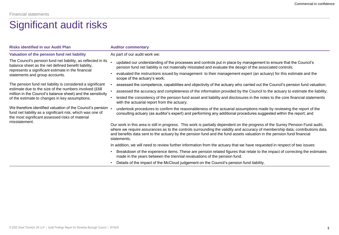| <b>Risks identified in our Audit Plan</b>                                                                                                                                   | <b>Auditor commentary</b>                                                                                                                                                                                                                                                                                                                                                                             |
|-----------------------------------------------------------------------------------------------------------------------------------------------------------------------------|-------------------------------------------------------------------------------------------------------------------------------------------------------------------------------------------------------------------------------------------------------------------------------------------------------------------------------------------------------------------------------------------------------|
| Valuation of the pension fund net liability                                                                                                                                 | As part of our audit work we:                                                                                                                                                                                                                                                                                                                                                                         |
| The Council's pension fund net liability, as reflected in its<br>balance sheet as the net defined benefit liability,                                                        | updated our understanding of the processes and controls put in place by management to ensure that the Council's<br>pension fund net liability is not materially misstated and evaluate the design of the associated controls;                                                                                                                                                                         |
| represents a significant estimate in the financial<br>statements and group accounts.                                                                                        | evaluated the instructions issued by management to their management expert (an actuary) for this estimate and the<br>scope of the actuary's work;                                                                                                                                                                                                                                                     |
| The pension fund net liability is considered a significant                                                                                                                  | assessed the competence, capabilities and objectivity of the actuary who carried out the Council's pension fund valuation;                                                                                                                                                                                                                                                                            |
| estimate due to the size of the numbers involved (£68)<br>million in the Council's balance sheet) and the sensitivity                                                       | assessed the accuracy and completeness of the information provided by the Council to the actuary to estimate the liability;                                                                                                                                                                                                                                                                           |
| of the estimate to changes in key assumptions.                                                                                                                              | tested the consistency of the pension fund asset and liability and disclosures in the notes to the core financial statements<br>with the actuarial report from the actuary;                                                                                                                                                                                                                           |
| We therefore identified valuation of the Council's pension<br>fund net liability as a significant risk, which was one of<br>the most significant assessed risks of material | undertook procedures to confirm the reasonableness of the actuarial assumptions made by reviewing the report of the<br>consulting actuary (as auditor's expert) and performing any additional procedures suggested within the report; and                                                                                                                                                             |
| misstatement.                                                                                                                                                               | Our work in this area is still in progress. This work is partially dependent on the progress of the Surrey Pension Fund audit,<br>where we require assurances as to the controls surrounding the validity and accuracy of membership data; contributions data<br>and benefits data sent to the actuary by the pension fund and the fund assets valuation in the pension fund financial<br>statements. |
|                                                                                                                                                                             | In addition, we will need to review further information from the actuary that we have requested in respect of two issues:                                                                                                                                                                                                                                                                             |
|                                                                                                                                                                             | Breakdown of the experience items. These are pension related figures that relate to the impact of correcting the estimates<br>made in the years between the triennial revaluations of the pension fund.                                                                                                                                                                                               |
|                                                                                                                                                                             | Details of the impact of the McCloud judgement on the Council's pension fund liability.                                                                                                                                                                                                                                                                                                               |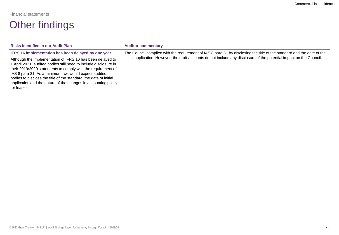### Other findings

| <b>Risks identified in our Audit Plan</b>                                                                                                                                                                                                                                                                                                                                                                                                                           | <b>Auditor commentary</b>                                                                                                                                                                                                                        |
|---------------------------------------------------------------------------------------------------------------------------------------------------------------------------------------------------------------------------------------------------------------------------------------------------------------------------------------------------------------------------------------------------------------------------------------------------------------------|--------------------------------------------------------------------------------------------------------------------------------------------------------------------------------------------------------------------------------------------------|
| IFRS 16 implementation has been delayed by one year<br>Although the implementation of IFRS 16 has been delayed to<br>1 April 2021, audited bodies still need to include disclosure in<br>their 2019/2020 statements to comply with the requirement of<br>IAS 8 para 31. As a minimum, we would expect audited<br>bodies to disclose the title of the standard, the date of initial<br>application and the nature of the changes in accounting policy<br>for leases. | The Council complied with the requirement of IAS 8 para 31 by disclosing the title of the standard and the date of the<br>initial application. However, the draft accounts do not include any disclosure of the potential impact on the Council. |
|                                                                                                                                                                                                                                                                                                                                                                                                                                                                     |                                                                                                                                                                                                                                                  |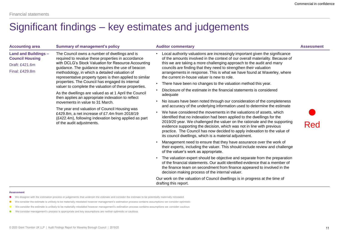### Significant findings – key estimates and judgements

| <b>Accounting area</b>                                                                    | <b>Summary of management's policy</b>                                                                                                                                                                                                                                                                                                                                                                                                                                                                                                                                                                                                                                                                                                                                              | <b>Auditor commentary</b>                                                                                                                                                                                                                                                                                                                                                                                                                                                                                                                                                                                                                                                                                                                                                                                                                                                                                                                                                                                                                                                                                                                                                                                                                                                                                                                                                                                                                                                                                                                                                                                                                                                                                                                                                        | <b>Assessment</b> |
|-------------------------------------------------------------------------------------------|------------------------------------------------------------------------------------------------------------------------------------------------------------------------------------------------------------------------------------------------------------------------------------------------------------------------------------------------------------------------------------------------------------------------------------------------------------------------------------------------------------------------------------------------------------------------------------------------------------------------------------------------------------------------------------------------------------------------------------------------------------------------------------|----------------------------------------------------------------------------------------------------------------------------------------------------------------------------------------------------------------------------------------------------------------------------------------------------------------------------------------------------------------------------------------------------------------------------------------------------------------------------------------------------------------------------------------------------------------------------------------------------------------------------------------------------------------------------------------------------------------------------------------------------------------------------------------------------------------------------------------------------------------------------------------------------------------------------------------------------------------------------------------------------------------------------------------------------------------------------------------------------------------------------------------------------------------------------------------------------------------------------------------------------------------------------------------------------------------------------------------------------------------------------------------------------------------------------------------------------------------------------------------------------------------------------------------------------------------------------------------------------------------------------------------------------------------------------------------------------------------------------------------------------------------------------------|-------------------|
| <b>Land and Buildings -</b><br><b>Council Housing</b><br>Draft: £421.6m<br>Final: £429.8m | The Council owns a number of dwellings and is<br>required to revalue these properties in accordance<br>with DCLG's Stock Valuation for Resource Accounting<br>guidance. The guidance requires the use of beacon<br>methodology, in which a detailed valuation of<br>representative property types is then applied to similar<br>properties. The Council has engaged its internal<br>valuer to complete the valuation of these properties.<br>As the dwellings are valued as at 1 April the Council<br>then applies an appropriate indexation to reflect<br>movements in value to 31 March.<br>The year end valuation of Council Housing was<br>£429.8m, a net increase of £7.4m from 2018/19<br>(£422.4m), following indexation being applied as part<br>of the audit adjustments. | Local authority valuations are increasingly important given the significance<br>of the amounts involved in the context of our overall materiality. Because of<br>this we are taking a more challenging approach to the audit and many<br>councils are finding that they need to strengthen their valuation<br>arrangements in response. This is what we have found at Waverley, where<br>the current in-house valuer is new to role.<br>• There have been no changes to the valuation method this year.<br>Disclosure of the estimate in the financial statements is considered<br>adequate<br>No issues have been noted through our consideration of the completeness<br>and accuracy of the underlying information used to determine the estimate<br>We have considered the movements in the valuations of assets, which<br>identified that no indexation had been applied to the dwellings for the<br>2019/20 year. We challenged the valuer on the rationale and the supporting<br>evidence supporting the decision, which was not in line with previous<br>practice. The Council has now decided to apply indexation to the value of<br>its council dwellings, which is a material adjustment.<br>Management need to ensure that they have assurance over the work of<br>their experts, including the valuer. This should include review and challenge<br>of the valuer's work as appropriate.<br>• The valuation expert should be objective and separate from the preparation<br>of the financial statements. Our audit identified evidence that a member of<br>the finance team on secondment from finance appeared to involved in the<br>decision making process of the internal valuer.<br>Our work on the valuation of Council dwellings is in progress at the time of | Red               |
|                                                                                           |                                                                                                                                                                                                                                                                                                                                                                                                                                                                                                                                                                                                                                                                                                                                                                                    | drafting this report.                                                                                                                                                                                                                                                                                                                                                                                                                                                                                                                                                                                                                                                                                                                                                                                                                                                                                                                                                                                                                                                                                                                                                                                                                                                                                                                                                                                                                                                                                                                                                                                                                                                                                                                                                            |                   |

#### **Assessment**

- We disagree with the estimation process or judgements that underpin the estimate and consider the estimate to be potentially materially misstated
- We consider the estimate is unlikely to be materially misstated however management's estimation process contains assumptions we consider optimistic
- We consider the estimate is unlikely to be materially misstated however management's estimation process contains assumptions we consider cautious
- We consider management's process is appropriate and key assumptions are neither optimistic or cautious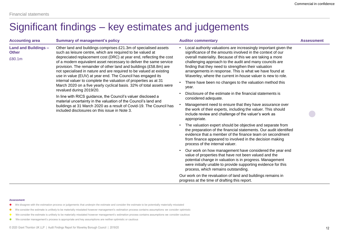### Significant findings – key estimates and judgements

| <b>Accounting area</b>                                                                                                                                                                                                                                                                                                                                                                                                                                                                                                                                                                                                                                                                | <b>Summary of management's policy</b>                                                                                                     | <b>Auditor commentary</b>                                                                                                                                                                                                                                                                                                                                                                                                               | <b>Assessment</b> |
|---------------------------------------------------------------------------------------------------------------------------------------------------------------------------------------------------------------------------------------------------------------------------------------------------------------------------------------------------------------------------------------------------------------------------------------------------------------------------------------------------------------------------------------------------------------------------------------------------------------------------------------------------------------------------------------|-------------------------------------------------------------------------------------------------------------------------------------------|-----------------------------------------------------------------------------------------------------------------------------------------------------------------------------------------------------------------------------------------------------------------------------------------------------------------------------------------------------------------------------------------------------------------------------------------|-------------------|
| <b>Land and Buildings -</b><br>Other land and buildings comprises £21.3m of specialised assets<br>such as leisure centre, which are required to be valued at<br><b>Other</b><br>£80.1m<br>provision. The remainder of other land and buildings (£58.8m) are<br>not specialised in nature and are required to be valued at existing<br>use in value (EUV) at year end. The Council has engaged its<br>internal valuer to complete the valuation of properties as at 31<br>revalued during 2019/20.<br>In line with RICS guidance, the Council's valuer disclosed a<br>material uncertainty in the valuation of the Council's land and<br>included disclosures on this issue in Note 3. | depreciated replacement cost (DRC) at year end, reflecting the cost<br>of a modern equivalent asset necessary to deliver the same service | Local authority valuations are increasingly important given the<br>significance of the amounts involved in the context of our<br>overall materiality. Because of this we are taking a more<br>challenging approach to the audit and many councils are<br>finding that they need to strengthen their valuation<br>arrangements in response. This is what we have found at<br>Waverley, where the current in-house valuer is new to role. |                   |
|                                                                                                                                                                                                                                                                                                                                                                                                                                                                                                                                                                                                                                                                                       | March 2020 on a five yearly cyclical basis. 32% of total assets were                                                                      | There have been no changes to the valuation method this<br>year.                                                                                                                                                                                                                                                                                                                                                                        |                   |
|                                                                                                                                                                                                                                                                                                                                                                                                                                                                                                                                                                                                                                                                                       |                                                                                                                                           | Disclosure of the estimate in the financial statements is<br>$\bullet$<br>considered adequate.                                                                                                                                                                                                                                                                                                                                          |                   |
|                                                                                                                                                                                                                                                                                                                                                                                                                                                                                                                                                                                                                                                                                       | buildings at 31 March 2020 as a result of Covid-19. The Council has                                                                       | Management need to ensure that they have assurance over<br>the work of their experts, including the valuer. This should<br>include review and challenge of the valuer's work as<br>appropriate.                                                                                                                                                                                                                                         |                   |
|                                                                                                                                                                                                                                                                                                                                                                                                                                                                                                                                                                                                                                                                                       |                                                                                                                                           | The valuation expert should be objective and separate from<br>$\bullet$<br>the preparation of the financial statements. Our audit identified<br>evidence that a member of the finance team on secondment<br>from finance appeared to involved in the decision making<br>process of the internal valuer.                                                                                                                                 |                   |
|                                                                                                                                                                                                                                                                                                                                                                                                                                                                                                                                                                                                                                                                                       |                                                                                                                                           | Our work on how management have considered the year end<br>$\bullet$<br>value of properties that have not been valued and the<br>potential change in valuation is in progress. Management<br>were initially unable to provide supporting evidence for this<br>process, which remains outstanding.                                                                                                                                       |                   |
|                                                                                                                                                                                                                                                                                                                                                                                                                                                                                                                                                                                                                                                                                       |                                                                                                                                           | Our work on the revaluation of land and buildings remains in<br>progress at the time of drafting this report.                                                                                                                                                                                                                                                                                                                           |                   |

#### **Assessment**

- We disagree with the estimation process or judgements that underpin the estimate and consider the estimate to be potentially materially misstated
- We consider the estimate is unlikely to be materially misstated however management's estimation process contains assumptions we consider optimistic
- We consider the estimate is unlikely to be materially misstated however management's estimation process contains assumptions we consider cautious
- We consider management's process is appropriate and key assumptions are neither optimistic or cautious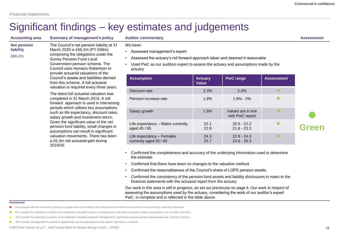### Significant findings – key estimates and judgements

**Accounting area Summary of management's policy Auditor commentary Assessment Net pension liability** £66.2m The Council's net pension liability at 31 March 2020 is £66.2m (PY £68m) comprising the obligations under the Surrey Pension Fund Local Government pension scheme. The Council uses Hymans Robertson to provide actuarial valuations of the Council's assets and liabilities derived from this scheme. A full actuarial valuation is required every three years. The latest full actuarial valuation was completed in 31 March 2019. A roll forward approach is used in intervening periods which utilises key assumptions such as life expectancy, discount rates, salary growth and investment return. Given the significant value of the net

2019/20.

pension fund liability, small changes in assumptions can result in significant valuation movements. There has been a £5.3m net actuarial gain during

We have:

- Assessed management's expert
- Assessed the actuary's roll forward approach taken and deemed it reasonable
- Used PwC as our auditors expert to assess the actuary and assumptions made by the actuary

| <b>Assumption</b>                                   | <b>Actuary</b><br><b>Value</b> | <b>PwC range</b>                      | <b>Assessment</b> |              |
|-----------------------------------------------------|--------------------------------|---------------------------------------|-------------------|--------------|
| Discount rate                                       | 2.3%                           | 2.3%                                  |                   |              |
| Pension increase rate                               | 1.9%                           | $1.8\% - 2\%$                         |                   |              |
| Salary growth                                       | 2.8%                           | Values are in line<br>with PwC report |                   |              |
| Life expectancy – Males currently<br>aged 45 / 65   | 22.1<br>22.9                   | $20.5 - 22.2$<br>$21.6 - 23.3$        |                   | <b>Green</b> |
| Life expectancy - Females<br>currently aged 45 / 65 | 24.3<br>25.7                   | $22.9 - 24.3$<br>$24.6 - 26.3$        |                   |              |

- Confirmed the completeness and accuracy of the underlying information used to determine the estimate
- Confirmed that there have been no changes to the valuation method
- Confirmed the reasonableness of the Council's share of LGPS pension assets.
- Confirmed the consistency of the pension fund assets and liability disclosures in notes to the financial statements with the actuarial report from the actuary

Our work in this area is still in progress, as set out previously on page 9. Our work in respect of assessing the assumptions used by the actuary, considering the work of our auditor's expert PwC, is complete and is reflected in the table above.

#### **Assessment**

- We disagree with the estimation process or judgements that underpin the estimate and consider the estimate to be potentially materially misstated
- We consider the estimate is unlikely to be materially misstated however management's estimation process contains assumptions we consider optimistic
- We consider the estimate is unlikely to be materially misstated however management's estimation process contains assumptions we consider cautious
- We consider management's process is appropriate and key assumptions are neither optimistic or cautious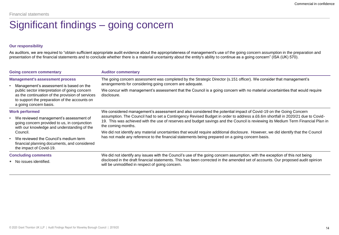### Significant findings – going concern

### **Our responsibility**

As auditors, we are required to "obtain sufficient appropriate audit evidence about the appropriateness of management's use of the going concern assumption in the preparation and presentation of the financial statements and to conclude whether there is a material uncertainty about the entity's ability to continue as a going concern" (ISA (UK) 570).

| <b>Going concern commentary</b>                                                                                                                                              | <b>Auditor commentary</b>                                                                                                                                                                                                                                                                |  |  |  |
|------------------------------------------------------------------------------------------------------------------------------------------------------------------------------|------------------------------------------------------------------------------------------------------------------------------------------------------------------------------------------------------------------------------------------------------------------------------------------|--|--|--|
| <b>Management's assessment process</b>                                                                                                                                       | The going concern assessment was completed by the Strategic Director (s.151 officer). We consider that management's                                                                                                                                                                      |  |  |  |
| Management's assessment is based on the                                                                                                                                      | arrangements for considering going concern are adequate.                                                                                                                                                                                                                                 |  |  |  |
| public sector interpretation of going concern<br>as the continuation of the provision of services<br>to support the preparation of the accounts on<br>a going concern basis. | We concur with management's assessment that the Council is a going concern with no material uncertainties that would require<br>disclosure.                                                                                                                                              |  |  |  |
| <b>Work performed</b>                                                                                                                                                        | We considered management's assessment and also considered the potential impact of Covid-19 on the Going Concern                                                                                                                                                                          |  |  |  |
| We reviewed management's assessment of<br>going concern provided to us, in conjunction<br>with our knowledge and understanding of the                                        | assumption. The Council had to set a Contingency Revised Budget in order to address a £6.6m shortfall in 2020/21 due to Covid-<br>19. This was achieved with the use of reserves and budget savings and the Council is reviewing its Medium Term Financial Plan in<br>the coming months. |  |  |  |
| Council.                                                                                                                                                                     | We did not identify any material uncertainties that would require additional disclosure. However, we did identify that the Council                                                                                                                                                       |  |  |  |
| We reviewed the Council's medium term<br>$\bullet$<br>financial planning documents, and considered<br>the impact of Covid-19.                                                | has not made any reference to the financial statements being prepared on a going concern basis.                                                                                                                                                                                          |  |  |  |
| <b>Concluding comments</b>                                                                                                                                                   | We did not identify any issues with the Council's use of the going concern assumption, with the exception of this not being                                                                                                                                                              |  |  |  |
| • No issues identified.                                                                                                                                                      | disclosed in the draft financial statements. This has been corrected in the amended set of accounts. Our proposed audit opinion<br>will be unmodified in respect of going concern.                                                                                                       |  |  |  |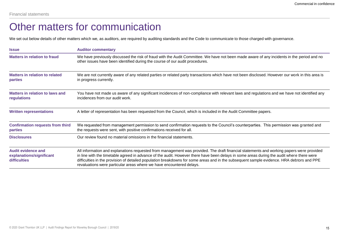### Other matters for communication

We set out below details of other matters which we, as auditors, are required by auditing standards and the Code to communicate to those charged with governance.

| <b>Issue</b>                                                          | <b>Auditor commentary</b>                                                                                                                                                                                                                                                                                                                                                                                                                                                                                  |
|-----------------------------------------------------------------------|------------------------------------------------------------------------------------------------------------------------------------------------------------------------------------------------------------------------------------------------------------------------------------------------------------------------------------------------------------------------------------------------------------------------------------------------------------------------------------------------------------|
| <b>Matters in relation to fraud</b>                                   | We have previously discussed the risk of fraud with the Audit Committee. We have not been made aware of any incidents in the period and no<br>other issues have been identified during the course of our audit procedures.                                                                                                                                                                                                                                                                                 |
| <b>Matters in relation to related</b><br><b>parties</b>               | We are not currently aware of any related parties or related party transactions which have not been disclosed. However our work in this area is<br>in progress currently.                                                                                                                                                                                                                                                                                                                                  |
| Matters in relation to laws and<br>regulations                        | You have not made us aware of any significant incidences of non-compliance with relevant laws and regulations and we have not identified any<br>incidences from our audit work.                                                                                                                                                                                                                                                                                                                            |
| <b>Written representations</b>                                        | A letter of representation has been requested from the Council, which is included in the Audit Committee papers.                                                                                                                                                                                                                                                                                                                                                                                           |
| <b>Confirmation requests from third</b><br><b>parties</b>             | We requested from management permission to send confirmation requests to the Council's counterparties. This permission was granted and<br>the requests were sent, with positive confirmations received for all.                                                                                                                                                                                                                                                                                            |
| <b>Disclosures</b>                                                    | Our review found no material omissions in the financial statements.                                                                                                                                                                                                                                                                                                                                                                                                                                        |
| <b>Audit evidence and</b><br>explanations/significant<br>difficulties | All information and explanations requested from management was provided. The draft financial statements and working papers were provided<br>in line with the timetable agreed in advance of the audit. However there have been delays in some areas during the audit where there were<br>difficulties in the provision of detailed population breakdowns for some areas and in the subsequent sample evidence. HRA debtors and PPE<br>revaluations were particular areas where we have encountered delays. |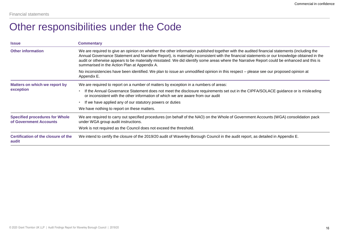### Other responsibilities under the Code

| <b>Issue</b>                                                    | <b>Commentary</b>                                                                                                                                                                                                                                                                                                                                                                                                                                                                         |
|-----------------------------------------------------------------|-------------------------------------------------------------------------------------------------------------------------------------------------------------------------------------------------------------------------------------------------------------------------------------------------------------------------------------------------------------------------------------------------------------------------------------------------------------------------------------------|
| <b>Other information</b>                                        | We are required to give an opinion on whether the other information published together with the audited financial statements (including the<br>Annual Governance Statement and Narrative Report), is materially inconsistent with the financial statements or our knowledge obtained in the<br>audit or otherwise appears to be materially misstated. We did identify some areas where the Narrative Report could be enhanced and this is<br>summarised in the Action Plan at Appendix A. |
|                                                                 | No inconsistencies have been identified. We plan to issue an unmodified opinion in this respect – please see our proposed opinion at<br>Appendix E.                                                                                                                                                                                                                                                                                                                                       |
| Matters on which we report by<br>exception                      | We are required to report on a number of matters by exception in a numbers of areas:                                                                                                                                                                                                                                                                                                                                                                                                      |
|                                                                 | If the Annual Governance Statement does not meet the disclosure requirements set out in the CIPFA/SOLACE guidance or is misleading<br>or inconsistent with the other information of which we are aware from our audit                                                                                                                                                                                                                                                                     |
|                                                                 | If we have applied any of our statutory powers or duties<br>$\bullet$                                                                                                                                                                                                                                                                                                                                                                                                                     |
|                                                                 | We have nothing to report on these matters.                                                                                                                                                                                                                                                                                                                                                                                                                                               |
| <b>Specified procedures for Whole</b><br>of Government Accounts | We are required to carry out specified procedures (on behalf of the NAO) on the Whole of Government Accounts (WGA) consolidation pack<br>under WGA group audit instructions.                                                                                                                                                                                                                                                                                                              |
|                                                                 | Work is not required as the Council does not exceed the threshold.                                                                                                                                                                                                                                                                                                                                                                                                                        |
| Certification of the closure of the<br>audit                    | We intend to certify the closure of the 2019/20 audit of Waverley Borough Council in the audit report, as detailed in Appendix E.                                                                                                                                                                                                                                                                                                                                                         |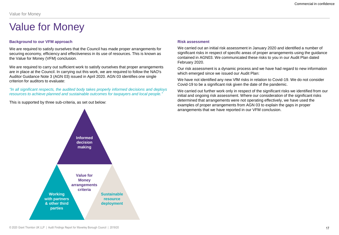### **Background to our VFM approach**

We are required to satisfy ourselves that the Council has made proper arrangements for securing economy, efficiency and effectiveness in its use of resources. This is known as the Value for Money (VFM) conclusion.

We are required to carry out sufficient work to satisfy ourselves that proper arrangements are in place at the Council. In carrying out this work, we are required to follow the NAO's Auditor Guidance Note 3 (AGN 03) issued in April 2020. AGN 03 identifies one single criterion for auditors to evaluate:

*"In all significant respects, the audited body takes properly informed decisions and deploys resources to achieve planned and sustainable outcomes for taxpayers and local people."*

This is supported by three sub-criteria, as set out below:



We carried out an initial risk assessment in January 2020 and identified a number of significant risks in respect of specific areas of proper arrangements using the guidance contained in AGN03. We communicated these risks to you in our Audit Plan dated February 2020.

Our risk assessment is a dynamic process and we have had regard to new information which emerged since we issued our Audit Plan:

We have not identified any new VfM risks in relation to Covid-19. We do not consider Covid-19 to be a significant risk given the date of the pandemic.

We carried out further work only in respect of the significant risks we identified from our initial and ongoing risk assessment. Where our consideration of the significant risks determined that arrangements were not operating effectively, we have used the examples of proper arrangements from AGN 03 to explain the gaps in proper arrangements that we have reported in our VFM conclusion.

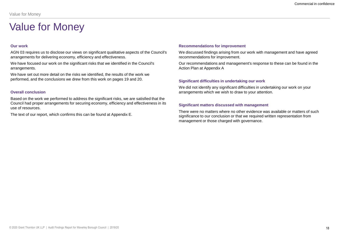### **Our work**

AGN 03 requires us to disclose our views on significant qualitative aspects of the Council's arrangements for delivering economy, efficiency and effectiveness.

We have focused our work on the significant risks that we identified in the Council's arrangements.

We have set out more detail on the risks we identified, the results of the work we performed, and the conclusions we drew from this work on pages 19 and 20.

### **Overall conclusion**

Based on the work we performed to address the significant risks, we are satisfied that the Council had proper arrangements for securing economy, efficiency and effectiveness in its use of resources.

The text of our report, which confirms this can be found at Appendix E.

#### **Recommendations for improvement**

We discussed findings arising from our work with management and have agreed recommendations for improvement.

Our recommendations and management's response to these can be found in the Action Plan at Appendix A

### **Significant difficulties in undertaking our work**

We did not identify any significant difficulties in undertaking our work on your arrangements which we wish to draw to your attention.

### **Significant matters discussed with management**

There were no matters where no other evidence was available or matters of such significance to our conclusion or that we required written representation from management or those charged with governance.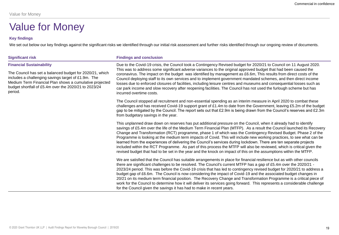### **Key findings**

We set out below our key findings against the significant risks we identified through our initial risk assessment and further risks identified through our ongoing review of documents.

### **Financial Sustainability**

The Council has set a balanced budget for 2020/21, which includes a challenging savings target of £1.9m. The Medium Term Financial Plan shows a cumulative projected budget shortfall of £5.4m over the 2020/21 to 2023/24 period.

### **Significant risk Findings and conclusion**

Due to the Covid-19 crisis, the Council took a Contingency Revised budget for 2020/21 to Council on 11 August 2020. This was to address some significant adverse variances to the original approved budget that had been caused the coronavirus. The impact on the budget was identified by management as £6.6m, This results from direct costs of the Council deploying staff to its own services and to implement government mandated schemes, and then direct income losses due to enforced closures of facilities, including leisure centres and museums and consequential losses such as car park income and slow recovery after reopening facilities. The Council has not used the furlough scheme but has incurred overtime costs.

The Council stopped all recruitment and non-essential spending as an interim measure in April 2020 to combat these challenges and has received Covid-19 support grant of £1.4m to date from the Government, leaving £5.2m of the budget gap to be mitigated by the Council. The report sets out that £2.9m is being drawn from the Council's reserves and £2.3m from budgetary savings in the year.

This unplanned draw down on reserves has put additional pressure on the Council, when it already had to identify savings of £5.4m over the life of the Medium Term Financial Plan (MTFP). As a result the Council launched its Recovery Change and Transformation (RCT) programme, phase 1 of which was the Contingency Revised Budget. Phase 2 of the Programme is looking at the medium term impacts of Covid. This will include new working practices, to see what can be learned from the experiences of delivering the Council's services during lockdown. There are ten separate projects included within the RCT Programme. As part of this process the MTFP will also be reviewed, which is critical given the revised budget that had to be set in the year and the knock on impact of this on the assumptions within the MTFP.

We are satisfied that the Council has suitable arrangements in place for financial resilience but as with other councils there are significant challenges to be resolved. The Council's current MTFP has a gap of £5.4m over the 2020/21 - 2023/24 period. This was before the Covid-19 crisis that has led to contingency revised budget for 2020/21 to address a budget gap of £6.6m. The Council is now considering the impact of Covid-19 and the associated budget changes in 20/21 on its medium term financial position. The Recovery Change and Transformation Programme is a critical piece of work for the Council to determine how it will deliver its services going forward. This represents a considerable challenge for the Council given the savings it has had to make in recent years.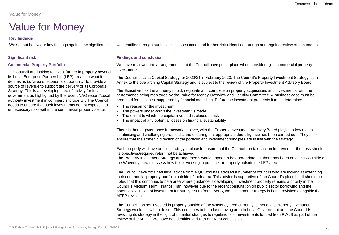### **Key findings**

We set out below our key findings against the significant risks we identified through our initial risk assessment and further risks identified through our ongoing review of documents.

### **Commercial Property Portfolio**

The Council are looking to invest further in property beyond its Local Enterprise Partnership (LEP) area into what it defines as its "area of economic opportunity" to provide a source of revenue to support the delivery of its Corporate Strategy. This is a developing area of activity for local government as highlighted by the recent NAO report "Local authority investment in commercial property". The Council needs to ensure that such investments do not expose it to unnecessary risks within the commercial property sector.

### **Significant risk Findings and conclusion**

We have reviewed the arrangements that the Council have put in place when considering its commercial property investments.

The Council sets its Capital Strategy for 2020/21 in February 2020. The Council's Property Investment Strategy is an Annex to the overarching Capital Strategy and is subject to the review of the Property Investment Advisory Board.

The Executive has the authority to bid, negotiate and complete on property acquisitions and investments, with the performance being monitored by the Value for Money Overview and Scrutiny Committee. A business case must be produced for all cases, supported by financial modelling. Before the investment proceeds it must determine:

- The reason for the investment
- The powers under which the investment is made
- The extent to which the capital invested is placed at risk
- The impact of any potential losses on financial sustainability

There is then a governance framework in place, with the Property Investment Advisory Board playing a key role in scrutinising and challenging proposals, and ensuring that appropriate due diligence has been carried out. They also ensure that the strategic direction of the portfolio and investment principles are in line with the strategy.

Each property will have an exit strategy in place to ensure that the Council can take action to prevent further loss should its objectives/required return not be achieved.

The Property Investment Strategy arrangements would appear to be appropriate but there has been no activity outside of the Waverley area to assess how this is working in practice for property outside the LEP area.

The Council have obtained legal advice from a QC who has advised a number of councils who are looking at extending their commercial property portfolio outside of their area. This advice is supportive of the Council's plans but it should be noted that this continues to be a area where guidance is developing. Investment property remains a priority in the Council's Medium Term Finance Plan, however due to the recent consultation on public sector borrowing and the potential exclusion of investment for purely return from PWLB, the Investment Strategy is being revisited alongside the MTFP revision.

The Council has not invested in property outside of the Waverley area currently, although its Property Investment Strategy would allow it to do so. This continues to be a fast moving area in Local Government and the Council is revisiting its strategy in the light of potential changes to regulations for investments funded from PWLB as part of the review of the MTFP. We have not identified a risk to our VFM conclusion.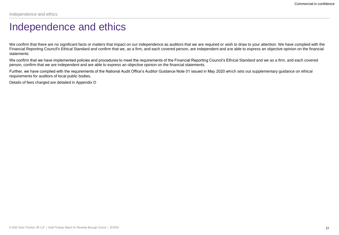### Independence and ethics

We confirm that there are no significant facts or matters that impact on our independence as auditors that we are required or wish to draw to your attention. We have complied with the Financial Reporting Council's Ethical Standard and confirm that we, as a firm, and each covered person, are independent and are able to express an objective opinion on the financial statements

We confirm that we have implemented policies and procedures to meet the requirements of the Financial Reporting Council's Ethical Standard and we as a firm, and each covered person, confirm that we are independent and are able to express an objective opinion on the financial statements.

Further, we have complied with the requirements of the National Audit Office's Auditor Guidance Note 01 issued in May 2020 which sets out supplementary guidance on ethical requirements for auditors of local public bodies.

Details of fees charged are detailed in Appendix D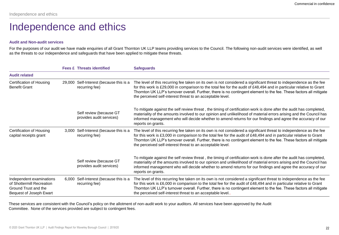### Independence and ethics

### **Audit and Non-audit services**

For the purposes of our audit we have made enquiries of all Grant Thornton UK LLP teams providing services to the Council. The following non-audit services were identified, as well as the threats to our independence and safeguards that have been applied to mitigate these threats.

|                                                                                                          |        | <b>Fees £ Threats identified</b>                    | <b>Safeguards</b>                                                                                                                                                                                                                                                                                                                                                                                                              |
|----------------------------------------------------------------------------------------------------------|--------|-----------------------------------------------------|--------------------------------------------------------------------------------------------------------------------------------------------------------------------------------------------------------------------------------------------------------------------------------------------------------------------------------------------------------------------------------------------------------------------------------|
| <b>Audit related</b>                                                                                     |        |                                                     |                                                                                                                                                                                                                                                                                                                                                                                                                                |
| Certification of Housing<br><b>Benefit Grant</b>                                                         | 29,000 | Self-Interest (because this is a<br>recurring fee)  | The level of this recurring fee taken on its own is not considered a significant threat to independence as the fee<br>for this work is £29,000 in comparison to the total fee for the audit of £48,494 and in particular relative to Grant<br>Thornton UK LLP's turnover overall. Further, there is no contingent element to the fee. These factors all mitigate<br>the perceived self-interest threat to an acceptable level. |
|                                                                                                          |        | Self review (because GT<br>provides audit services) | To mitigate against the self review threat, the timing of certification work is done after the audit has completed,<br>materiality of the amounts involved to our opinion and unlikelihood of material errors arising and the Council has<br>informed management who will decide whether to amend returns for our findings and agree the accuracy of our<br>reports on grants.                                                 |
| Certification of Housing<br>capital receipts grant                                                       | 3.000  | Self-Interest (because this is a<br>recurring fee)  | The level of this recurring fee taken on its own is not considered a significant threat to independence as the fee<br>for this work is £3,000 in comparison to the total fee for the audit of £48,494 and in particular relative to Grant<br>Thornton UK LLP's turnover overall. Further, there is no contingent element to the fee. These factors all mitigate<br>the perceived self-interest threat to an acceptable level.  |
|                                                                                                          |        | Self review (because GT<br>provides audit services) | To mitigate against the self review threat, the timing of certification work is done after the audit has completed,<br>materiality of the amounts involved to our opinion and unlikelihood of material errors arising and the Council has<br>informed management who will decide whether to amend returns for our findings and agree the accuracy of our<br>reports on grants.                                                 |
| Independent examinations<br>of Shottermill Recreation<br>Ground Trust and the<br>Bequest of Joseph Ewart | 6.000  | Self-Interest (because this is a<br>recurring fee)  | The level of this recurring fee taken on its own is not considered a significant threat to independence as the fee<br>for this work is £6,000 in comparison to the total fee for the audit of £48,494 and in particular relative to Grant<br>Thornton UK LLP's turnover overall. Further, there is no contingent element to the fee. These factors all mitigate<br>the perceived self-interest threat to an acceptable level   |

These services are consistent with the Council's policy on the allotment of non-audit work to your auditors. All services have been approved by the Audit Committee. None of the services provided are subject to contingent fees.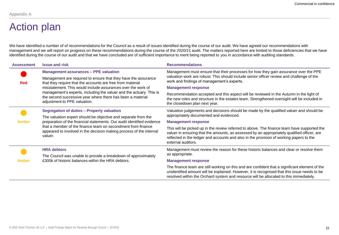### Action plan

We have identified a number of of recommendations for the Council as a result of issues identified during the course of our audit. We have agreed our recommendations with management and we will report on progress on these recommendations during the course of the 2020/21 audit. The matters reported here are limited to those deficiencies that we have identified during the course of our audit and that we have concluded are of sufficient importance to merit being reported to you in accordance with auditing standards.

| <b>Assessment</b> | <b>Issue and risk</b>                                                                                                                                                                                                             | <b>Recommendations</b>                                                                                                                                                                                                                                                                                      |  |
|-------------------|-----------------------------------------------------------------------------------------------------------------------------------------------------------------------------------------------------------------------------------|-------------------------------------------------------------------------------------------------------------------------------------------------------------------------------------------------------------------------------------------------------------------------------------------------------------|--|
|                   | <b>Management assurances - PPE valuation</b>                                                                                                                                                                                      | Management must ensure that their processes for how they gain assurance over the PPE                                                                                                                                                                                                                        |  |
| <b>Red</b>        | Management are required to ensure that they have the assurance<br>that they require that the accounts are free from material                                                                                                      | valuation work are robust. This should include senior officer review and challenge of the<br>work and findings of management's experts.                                                                                                                                                                     |  |
|                   | misstatement. This would include assurances over the work of<br>management's experts, including the valuer and the actuary. This is<br>the second successive year where there has been a material<br>adjustment to PPE valuation. | <b>Management response</b>                                                                                                                                                                                                                                                                                  |  |
|                   |                                                                                                                                                                                                                                   | Recommendation accepted and this aspect will be reviewed in the Autumn in the light of<br>the new roles and structure in the estates team. Strengthened oversight will be included in<br>the closedown plan next year.                                                                                      |  |
|                   | Segregation of duties - Property valuation                                                                                                                                                                                        | Valuation judgements and decisions should be made by the qualified valuer and should be                                                                                                                                                                                                                     |  |
| <b>Amber</b>      | The valuation expert should be objective and separate from the                                                                                                                                                                    | appropriately documented and evidenced.                                                                                                                                                                                                                                                                     |  |
|                   | preparation of the financial statements. Our audit identified evidence                                                                                                                                                            | <b>Management response</b>                                                                                                                                                                                                                                                                                  |  |
|                   | that a member of the finance team on secondment from finance<br>appeared to involved in the decision making process of the internal<br>valuer.                                                                                    | This will be picked up in the review referred to above. The finance team have supported the<br>valuer in ensuring that the amounts, as assessed by an appropriately qualified officer, are<br>reflected in the ledger and accounts and also in the provision of working papers to the<br>external auditors. |  |
|                   | <b>HRA</b> debtors                                                                                                                                                                                                                | Management must review the reason for these historic balances and clear or resolve them                                                                                                                                                                                                                     |  |
| <b>Amber</b>      | The Council was unable to provide a breakdown of approximately                                                                                                                                                                    | as appropriate.                                                                                                                                                                                                                                                                                             |  |
|                   | £300k of historic balances within the HRA debtors.                                                                                                                                                                                | <b>Management response</b>                                                                                                                                                                                                                                                                                  |  |
|                   |                                                                                                                                                                                                                                   | The finance team are still working on this and are confident that a significant element of the<br>unidentified amount will be explained. However, it is recognised that this issue needs to be<br>resolved within the Orchard system and resource will be allocated to this immediately.                    |  |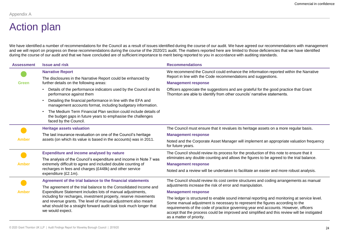## Action plan

We have identified a number of recommendations for the Council as a result of issues identified during the course of our audit. We have agreed our recommendations with management and we will report on progress on these recommendations during the course of the 2020/21 audit. The matters reported here are limited to those deficiencies that we have identified during the course of our audit and that we have concluded are of sufficient importance to merit being reported to you in accordance with auditing standards.

| <b>Assessment</b> | <b>Issue and risk</b>                                                                                                                                                                                                      | <b>Recommendations</b>                                                                                                                                                                                                                                                                                                                                                                          |
|-------------------|----------------------------------------------------------------------------------------------------------------------------------------------------------------------------------------------------------------------------|-------------------------------------------------------------------------------------------------------------------------------------------------------------------------------------------------------------------------------------------------------------------------------------------------------------------------------------------------------------------------------------------------|
|                   | <b>Narrative Report</b><br>The disclosures in the Narrative Report could be enhanced by                                                                                                                                    | We recommend the Council could enhance the information reported within the Narrative<br>Report in line with the Code recommendations and suggestions.                                                                                                                                                                                                                                           |
| <b>Green</b>      | further details on the following areas:                                                                                                                                                                                    | <b>Management response</b>                                                                                                                                                                                                                                                                                                                                                                      |
|                   | Details of the performance indicators used by the Council and its<br>performance against them                                                                                                                              | Officers appreciate the suggestions and are grateful for the good practice that Grant<br>Thornton are able to identify from other councils' narrative statements.                                                                                                                                                                                                                               |
|                   | Detailing the financial performance in line with the EFA and<br>management accounts format, including budgetary information.                                                                                               |                                                                                                                                                                                                                                                                                                                                                                                                 |
|                   | The Medium Term Financial Plan section could include details of<br>the budget gaps in future years to emphasise the challenges<br>faced by the Council.                                                                    |                                                                                                                                                                                                                                                                                                                                                                                                 |
|                   | <b>Heritage assets valuation</b>                                                                                                                                                                                           | The Council must ensure that it revalues its heritage assets on a more regular basis.                                                                                                                                                                                                                                                                                                           |
| <b>Amber</b>      | The last insurance revaluation on one of the Council's heritage                                                                                                                                                            | <b>Management response</b>                                                                                                                                                                                                                                                                                                                                                                      |
|                   | assets (on which its value is based in the accounts) was in 2011.                                                                                                                                                          | Noted and the Corporate Asset Manager will implement an appropriate valuation frequency<br>for future years.                                                                                                                                                                                                                                                                                    |
|                   | <b>Expenditure and income analysed by nature</b>                                                                                                                                                                           | The Council should review its process for the production of this note to ensure that it                                                                                                                                                                                                                                                                                                         |
|                   | The analysis of the Council's expenditure and income in Note 7 was                                                                                                                                                         | eliminates any double counting and allows the figures to be agreed to the trial balance.                                                                                                                                                                                                                                                                                                        |
| <b>Amber</b>      | extremely difficult to agree and included double counting of                                                                                                                                                               | <b>Management response</b>                                                                                                                                                                                                                                                                                                                                                                      |
|                   | recharges in fees and charges (£448k) and other service<br>expenditure (£2.1m).                                                                                                                                            | Noted and a review will be undertaken to facilitate an easier and more robust analysis.                                                                                                                                                                                                                                                                                                         |
|                   | Agreement of the trial balance to the financial statements                                                                                                                                                                 | The Council should review its cost centre structures and coding arrangements as manual                                                                                                                                                                                                                                                                                                          |
| <b>Amber</b>      | The agreement of the trial balance to the Consolidated Income and                                                                                                                                                          | adjustments increase the risk of error and manipulation.                                                                                                                                                                                                                                                                                                                                        |
|                   | Expenditure Statement includes lots of manual adjustments,                                                                                                                                                                 | <b>Management response</b>                                                                                                                                                                                                                                                                                                                                                                      |
|                   | including for recharges, investment property, reserve movements<br>and revenue grants. The level of manual adjustment also meant<br>what should be a straight forward audit task took much longer that<br>we would expect. | The ledger is structured to enable sound internal reporting and monitoring at service level.<br>Some manual adjustment is necessary to represent the figures according to the<br>requirements of the code of practice governing year end accounts. However, officers<br>accept that the process could be improved and simplified and this review will be instigated<br>as a matter of priority. |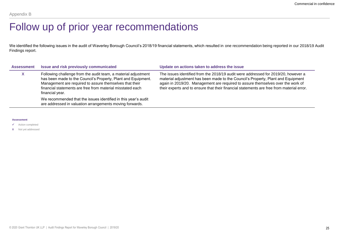### Follow up of prior year recommendations

We identified the following issues in the audit of Waverley Borough Council's 2018/19 financial statements, which resulted in one recommendation being reported in our 2018/19 Audit Findings report.

| <b>Assessment</b> | Issue and risk previously communicated                                                                                                                                                                                                                                      | Update on actions taken to address the issue                                                                                                                                                                                                                                                                                                           |
|-------------------|-----------------------------------------------------------------------------------------------------------------------------------------------------------------------------------------------------------------------------------------------------------------------------|--------------------------------------------------------------------------------------------------------------------------------------------------------------------------------------------------------------------------------------------------------------------------------------------------------------------------------------------------------|
|                   | Following challenge from the audit team, a material adjustment<br>has been made to the Council's Property, Plant and Equipment.<br>Management are required to assure themselves that their<br>financial statements are free from material misstated each<br>financial year. | The issues identified from the 2018/19 audit were addressed for 2019/20, however a<br>material adjustment has been made to the Council's Property, Plant and Equipment<br>again in 2019/20. Management are required to assure themselves over the work of<br>their experts and to ensure that their financial statements are free from material error. |
|                   | We recommended that the issues identified in this year's audit<br>are addressed in valuation arrangements moving forwards.                                                                                                                                                  |                                                                                                                                                                                                                                                                                                                                                        |

#### **Assessment**

✓ Action completed

**X** Not yet addressed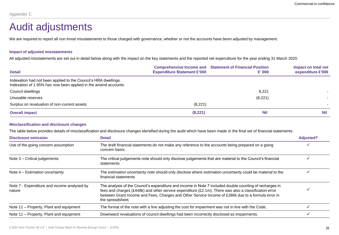### Audit adjustments

We are required to report all non trivial misstatements to those charged with governance, whether or not the accounts have been adjusted by management.

### **Impact of adjusted misstatements**

All adjusted misstatements are set out in detail below along with the impact on the key statements and the reported net expenditure for the year ending 31 March 2020.

| <b>Detail</b>                                                                                                                      | <b>Expenditure Statement £'000</b> | <b>Comprehensive Income and Statement of Financial Position</b><br>£' 000 | Impact on total net<br>expenditure £'000 |
|------------------------------------------------------------------------------------------------------------------------------------|------------------------------------|---------------------------------------------------------------------------|------------------------------------------|
| Indexation had not been applied to the Council's HRA dwellings.<br>Indexation of 1.95% has now been applied in the amend accounts. |                                    |                                                                           |                                          |
| Council dwellings                                                                                                                  |                                    | 8,221                                                                     |                                          |
| Unusable reserves                                                                                                                  |                                    | (8,221)                                                                   |                                          |
| Surplus on revaluation of non-current assets                                                                                       | (8.221)                            |                                                                           |                                          |
| <b>Overall impact</b>                                                                                                              | (8, 221)                           | <b>Nil</b>                                                                | <b>Nil</b>                               |

### **Misclassification and disclosure changes**

The table below provides details of misclassification and disclosure changes identified during the audit which have been made in the final set of financial statements.

| <b>Disclosure omission</b>                            | <b>Detail</b>                                                                                                                                                                                                                                                                                                                                  | <b>Adjusted?</b> |
|-------------------------------------------------------|------------------------------------------------------------------------------------------------------------------------------------------------------------------------------------------------------------------------------------------------------------------------------------------------------------------------------------------------|------------------|
| Use of the going concern assumption                   | The draft financial statements do not make any reference to the accounts being prepared on a going<br>concern basis.                                                                                                                                                                                                                           |                  |
| Note $3$ – Critical judgements                        | The critical judgements note should only disclose judgements that are material to the Council's financial<br>statements                                                                                                                                                                                                                        |                  |
| Note 4 – Estimation uncertainty                       | The estimation uncertainty note should only disclose where estimation uncertainty could be material to the<br>financial statements                                                                                                                                                                                                             |                  |
| Note 7 - Expenditure and income analysed by<br>nature | The analysis of the Council's expenditure and income in Note 7 included double counting of recharges in<br>fees and charges (£448k) and other service expenditure ( $£2.1m$ ). There was also a classification error<br>between Grant Income and Fees, Charges and Other Service Income of £286k due to a formula error in<br>the spreadsheet. |                  |
| Note 11 – Property, Plant and equipment               | The format of the note with a line adjusting the cost for impairment was not in line with the Code.                                                                                                                                                                                                                                            |                  |
| Note 11 – Property, Plant and equipment               | Downward revaluations of council dwellings had been incorrectly disclosed as impairments.                                                                                                                                                                                                                                                      |                  |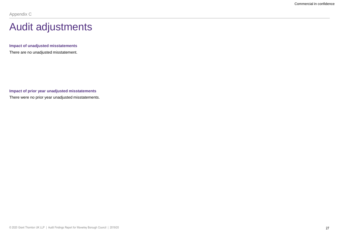### Audit adjustments

**Impact of unadjusted misstatements** There are no unadjusted misstatement.

**Impact of prior year unadjusted misstatements** There were no prior year unadjusted misstatements.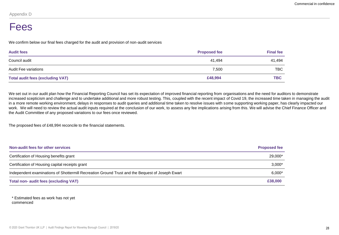### Fees

We confirm below our final fees charged for the audit and provision of non-audit services

| <b>Audit fees</b>                       | <b>Proposed fee</b> | <b>Final fee</b> |
|-----------------------------------------|---------------------|------------------|
| Council audit                           | 41,494              | 41,494           |
| Audit Fee variations                    | 7,500               | <b>TBC</b>       |
| <b>Total audit fees (excluding VAT)</b> | £48,994             | <b>TBC</b>       |

We set out in our audit plan how the Financial Reporting Council has set its expectation of improved financial reporting from organisations and the need for auditors to demonstrate increased scepticism and challenge and to undertake additional and more robust testing. This, coupled with the recent impact of Covid 19, the increased time taken in managing the audit in a more remote working environment, delays in responses to audit queries and additional time taken to resolve issues with some supporting working paper, has clearly impacted our work. We will need to review the actual audit inputs required at the conclusion of our work, to assess any fee implications arising from this. We will advise the Chief Finance Officer and the Audit Committee of any proposed variations to our fees once reviewed.

The proposed fees of £48,994 reconcile to the financial statements.

| <b>Non-audit fees for other services</b>                                                        | <b>Proposed fee</b> |
|-------------------------------------------------------------------------------------------------|---------------------|
| Certification of Housing benefits grant                                                         | 29.000*             |
| Certification of Housing capital receipts grant                                                 | $3,000*$            |
| Independent examinations of Shottermill Recreation Ground Trust and the Bequest of Joseph Ewart | $6,000*$            |
| <b>Total non- audit fees (excluding VAT)</b>                                                    | £38,000             |

\* Estimated fees as work has not yet commenced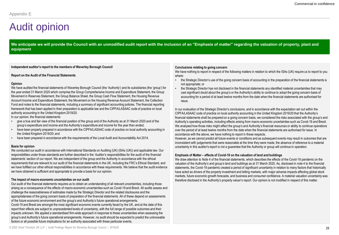## Audit opinion

We anticipate we will provide the Council with an unmodified audit report with the inclusion of an "Emphasis of matter" regarding the valuation of property, plant and **equipment**

**Independent auditor's report to the members of Waverley Borough Council**

#### **Report on the Audit of the Financial Statements**

#### **Opinion**

We have audited the financial statements of Waverley Borough Council (the 'Authority') and its subsidiaries (the 'group') for the year ended 31 March 2020 which comprise the Group Comprehensive Income and Expenditure Statement, the Group Movement in Reserves Statement, the Group Balance Sheet, the Group Cash Flow Statement, the Housing Revenue Account Income and Expenditure Statement, the Movement on the Housing Revenue Account Statement, the Collection Fund and notes to the financial statements, including a summary of significant accounting policies. The financial reporting framework that has been applied in their preparation is applicable law and the CIPFA/LASAAC code of practice on local authority accounting in the United Kingdom 2019/20.

In our opinion, the financial statements:

- give a true and fair view of the financial position of the group and of the Authority as at 31 March 2020 and of the group's expenditure and income and the Authority's expenditure and income for the year then ended;
- have been properly prepared in accordance with the CIPFA/LASAAC code of practice on local authority accounting in the United Kingdom 2019/20; and
- have been prepared in accordance with the requirements of the Local Audit and Accountability Act 2014.

#### **Basis for opinion**

We conducted our audit in accordance with International Standards on Auditing (UK) (ISAs (UK)) and applicable law. Our responsibilities under those standards are further described in the 'Auditor's responsibilities for the audit of the financial statements' section of our report. We are independent of the group and the Authority in accordance with the ethical requirements that are relevant to our audit of the financial statements in the UK, including the FRC's Ethical Standard, and we have fulfilled our other ethical responsibilities in accordance with these requirements. We believe that the audit evidence we have obtained is sufficient and appropriate to provide a basis for our opinion.

#### **The impact of macro-economic uncertainties on our audit**

Our audit of the financial statements requires us to obtain an understanding of all relevant uncertainties, including those arising as a consequence of the effects of macro-economic uncertainties such as Covid-19 and Brexit. All audits assess and challenge the reasonableness of estimates made by the Strategic Director and the related disclosures and the appropriateness of the going concern basis of preparation of the financial statements. All of these depend on assessments of the future economic environment and the group's and Authority's future operational arrangements. Covid-19 and Brexit are amongst the most significant economic events currently faced by the UK, and at the date of this

report their effects are subject to unprecedented levels of uncertainty, with the full range of possible outcomes and their impacts unknown. We applied a standardised firm-wide approach in response to these uncertainties when assessing the group's and Authority's future operational arrangements. However, no audit should be expected to predict the unknowable factors or all possible future implications for an authority associated with these particular events.

#### **Conclusions relating to going concern**

We have nothing to report in respect of the following matters in relation to which the ISAs (UK) require us to report to you where:

- the Strategic Director's use of the going concern basis of accounting in the preparation of the financial statements is not appropriate; or
- the Strategic Director has not disclosed in the financial statements any identified material uncertainties that may cast significant doubt about the group's or the Authority's ability to continue to adopt the going concern basis of accounting for a period of at least twelve months from the date when the financial statements are authorised for issue.

In our evaluation of the Strategic Director's conclusions, and in accordance with the expectation set out within the CIPFA/LASAAC code of practice on local authority accounting in the United Kingdom 2019/20 that the Authority's financial statements shall be prepared on a going concern basis, we considered the risks associated with the group's and Authority's operating activities, including effects arising from macro-economic uncertainties such as Covid-19 and Brexit. We analysed how those risks might affect the group's and Authority's financial resources or ability to continue operations over the period of at least twelve months from the date when the financial statements are authorised for issue. In accordance with the above, we have nothing to report in these respects.

However, as we cannot predict all future events or conditions and as subsequent events may result in outcomes that are inconsistent with judgements that were reasonable at the time they were made, the absence of reference to a material uncertainty in this auditor's report is not a guarantee that the Authority or group will continue in operation.

#### **Emphasis of Matter – effects of Covid-19 on the valuation of land and buildings**

We draw attention to Note 4 of the financial statements, which describes the effects of the Covid-19 pandemic on the valuation of the Authority's and group's land and buildings as at 31 March 2020. As, disclosed in note 4 to the financial statements, the Covid-19 pandemic created a period of significant uncertainty in relation to many factors that historically have acted as drivers of the property investment and letting markets, with major adverse impacts affecting global stock markets, future economic growth forecasts, and business and consumer confidence. A material valuation uncertainty was therefore disclosed in the Authority's property valuer's report. Our opinion is not modified in respect of this matter.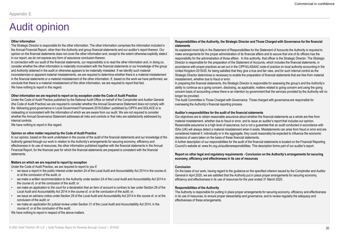## Audit opinion

#### **Other information**

The Strategic Director is responsible for the other information. The other information comprises the information included in the Annual Financial Report, other than the Authority and group financial statements and our auditor's report thereon. Our opinion on the financial statements does not cover the other information and, except to the extent otherwise explicitly stated in our report, we do not express any form of assurance conclusion thereon.

In connection with our audit of the financial statements, our responsibility is to read the other information and, in doing so, consider whether the other information is materially inconsistent with the financial statements or our knowledge of the group and Authority obtained in the audit or otherwise appears to be materially misstated. If we identify such material inconsistencies or apparent material misstatements, we are required to determine whether there is a material misstatement in the financial statements or a material misstatement of the other information. If, based on the work we have performed, we conclude that there is a material misstatement of this other information, we are required to report that fact. We have nothing to report in this regard.

#### **Other information we are required to report on by exception under the Code of Audit Practice**

Under the Code of Audit Practice published by the National Audit Office on behalf of the Comptroller and Auditor General (the Code of Audit Practice) we are required to consider whether the Annual Governance Statement does not comply with the 'delivering good governance in Local Government Framework 2016 Edition' published by CIPFA and SOLACE or is misleading or inconsistent with the information of which we are aware from our audit. We are not required to consider whether the Annual Governance Statement addresses all risks and controls or that risks are satisfactorily addressed by internal controls.

We have nothing to report in this regard.

#### **Opinion on other matter required by the Code of Audit Practice**

In our opinion, based on the work undertaken in the course of the audit of the financial statements and our knowledge of the Authority gained through our work in relation to the Authority's arrangements for securing economy, efficiency and effectiveness in its use of resources, the other information published together with the financial statements in the Annual Financial Report, for the financial year for which the financial statements are prepared is consistent with the financial statements.

#### **Matters on which we are required to report by exception**

Under the Code of Audit Practice, we are required to report to you if:

- we issue a report in the public interest under section 24 of the Local Audit and Accountability Act 2014 in the course of, or at the conclusion of the audit; or
- we make a written recommendation to the Authority under section 24 of the Local Audit and Accountability Act 2014 in the course of, or at the conclusion of the audit; or
- we make an application to the court for a declaration that an item of account is contrary to law under Section 28 of the Local Audit and Accountability Act 2014 in the course of, or at the conclusion of the audit; or;
- we issue an advisory notice under Section 29 of the Local Audit and Accountability Act 2014 in the course of, or at the conclusion of the audit; or
- we make an application for judicial review under Section 31 of the Local Audit and Accountability Act 2014, in the course of, or at the conclusion of the audit.
- We have nothing to report in respect of the above matters.

### **Responsibilities of the Authority, the Strategic Director and Those Charged with Governance for the financial statements**

As explained more fully in the Statement of Responsibilities for the Statement of Accounts the Authority is required to make arrangements for the proper administration of its financial affairs and to secure that one of its officers has the responsibility for the administration of those affairs. In this authority, that officer is the Strategic Director. The Strategic Director is responsible for the preparation of the Statement of Accounts, which includes the financial statements, in accordance with proper practices as set out in the CIPFA/LASAAC code of practice on local authority accounting in the United Kingdom 2019/20, for being satisfied that they give a true and fair view, and for such internal control as the Strategic Director determines is necessary to enable the preparation of financial statements that are free from material misstatement, whether due to fraud or error.

In preparing the financial statements, the Strategic Director is responsible for assessing the group's and the Authority's ability to continue as a going concern, disclosing, as applicable, matters related to going concern and using the going concern basis of accounting unless there is an intention by government that the services provided by the Authority will no longer be provided.

The Audit Committee is Those Charged with Governance. Those charged with governance are responsible for overseeing the Authority's financial reporting process.

### **Auditor's responsibilities for the audit of the financial statements**

Our objectives are to obtain reasonable assurance about whether the financial statements as a whole are free from material misstatement, whether due to fraud or error, and to issue an auditor's report that includes our opinion. Reasonable assurance is a high level of assurance, but is not a guarantee that an audit conducted in accordance with ISAs (UK) will always detect a material misstatement when it exists. Misstatements can arise from fraud or error and are considered material if, individually or in the aggregate, they could reasonably be expected to influence the economic decisions of users taken on the basis of these financial statements.

A further description of our responsibilities for the audit of the financial statements is located on the Financial Reporting Council's website at: www.frc.org.uk/auditorsresponsibilities. This description forms part of our auditor's report.

#### **Report on other legal and regulatory requirements - Conclusion on the Authority's arrangements for securing economy, efficiency and effectiveness in its use of resources**

#### **Conclusion**

On the basis of our work, having regard to the guidance on the specified criterion issued by the Comptroller and Auditor General in April 2020, we are satisfied that the Authority put in place proper arrangements for securing economy, efficiency and effectiveness in its use of resources for the year ended 31 March 2020.

#### **Responsibilities of the Authority**

The Authority is responsible for putting in place proper arrangements for securing economy, efficiency and effectiveness in its use of resources, to ensure proper stewardship and governance, and to review regularly the adequacy and effectiveness of these arrangements.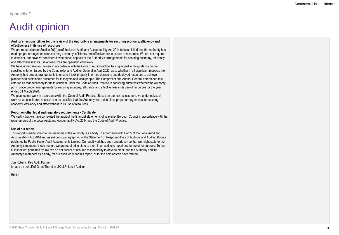### Audit opinion

#### **Auditor's responsibilities for the review of the Authority's arrangements for securing economy, efficiency and effectiveness in its use of resources**

We are required under Section 20(1)(c) of the Local Audit and Accountability Act 2014 to be satisfied that the Authority has made proper arrangements for securing economy, efficiency and effectiveness in its use of resources. We are not required to consider, nor have we considered, whether all aspects of the Authority's arrangements for securing economy, efficiency and effectiveness in its use of resources are operating effectively.

We have undertaken our review in accordance with the Code of Audit Practice, having regard to the guidance on the specified criterion issued by the Comptroller and Auditor General in April 2020, as to whether in all significant respects the Authority had proper arrangements to ensure it took properly informed decisions and deployed resources to achieve planned and sustainable outcomes for taxpayers and local people. The Comptroller and Auditor General determined this criterion as that necessary for us to consider under the Code of Audit Practice in satisfying ourselves whether the Authority put in place proper arrangements for securing economy, efficiency and effectiveness in its use of resources for the year ended 31 March 2020.

We planned our work in accordance with the Code of Audit Practice. Based on our risk assessment, we undertook such work as we considered necessary to be satisfied that the Authority has put in place proper arrangements for securing economy, efficiency and effectiveness in its use of resources.

#### **Report on other legal and regulatory requirements - Certificate**

We certify that we have completed the audit of the financial statements of Waverley Borough Council in accordance with the requirements of the Local Audit and Accountability Act 2014 and the Code of Audit Practice.

#### **Use of our report**

This report is made solely to the members of the Authority, as a body, in accordance with Part 5 of the Local Audit and Accountability Act 2014 and as set out in paragraph 43 of the Statement of Responsibilities of Auditors and Audited Bodies published by Public Sector Audit Appointments Limited. Our audit work has been undertaken so that we might state to the Authority's members those matters we are required to state to them in an auditor's report and for no other purpose. To the fullest extent permitted by law, we do not accept or assume responsibility to anyone other than the Authority and the Authority's members as a body, for our audit work, for this report, or for the opinions we have formed.

Jon Roberts, Key Audit Partner for and on behalf of Grant Thornton UK LLP, Local Auditor

Bristol